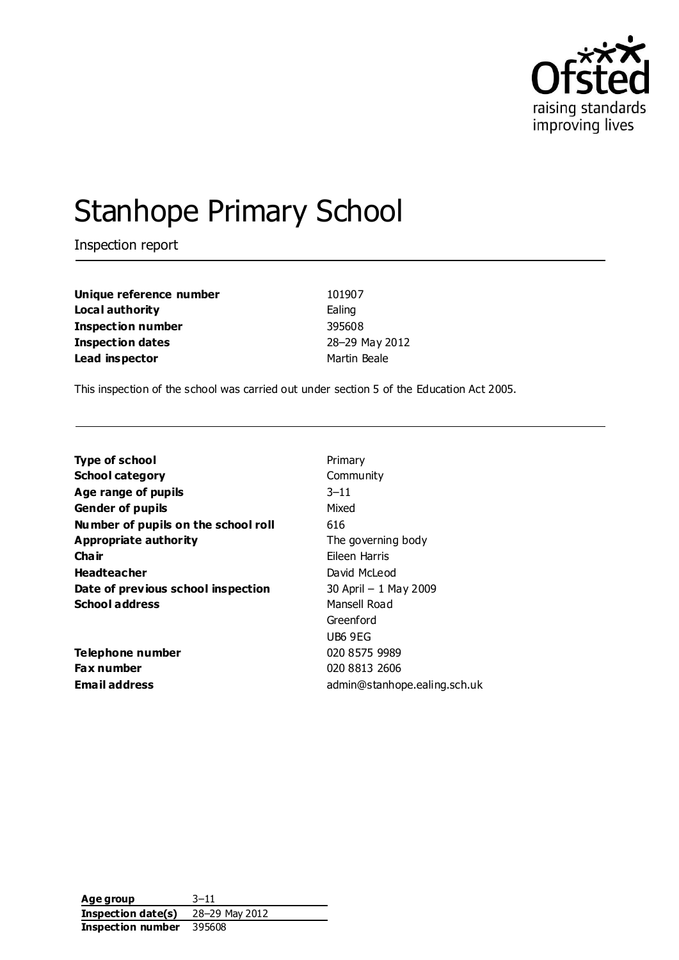

# Stanhope Primary School

Inspection report

**Unique reference number** 101907 **Local authority** Ealing **Inspection number** 395608 **Inspection dates** 28–29 May 2012 **Lead inspector and a linear Martin Beale** 

This inspection of the school was carried out under section 5 of the Education Act 2005.

| <b>Type of school</b>               | Primary                      |
|-------------------------------------|------------------------------|
| <b>School category</b>              | Community                    |
| Age range of pupils                 | $3 - 11$                     |
| <b>Gender of pupils</b>             | Mixed                        |
| Number of pupils on the school roll | 616                          |
| <b>Appropriate authority</b>        | The governing body           |
| Cha ir                              | Fileen Harris                |
| <b>Headteacher</b>                  | David McLeod                 |
| Date of previous school inspection  | 30 April - 1 May 2009        |
| <b>School address</b>               | Mansell Road                 |
|                                     | Greenford                    |
|                                     | UB6 9EG                      |
| Telephone number                    | 020 8575 9989                |
| Fax number                          | 020 8813 2606                |
| Email address                       | admin@stanhope.ealing.sch.uk |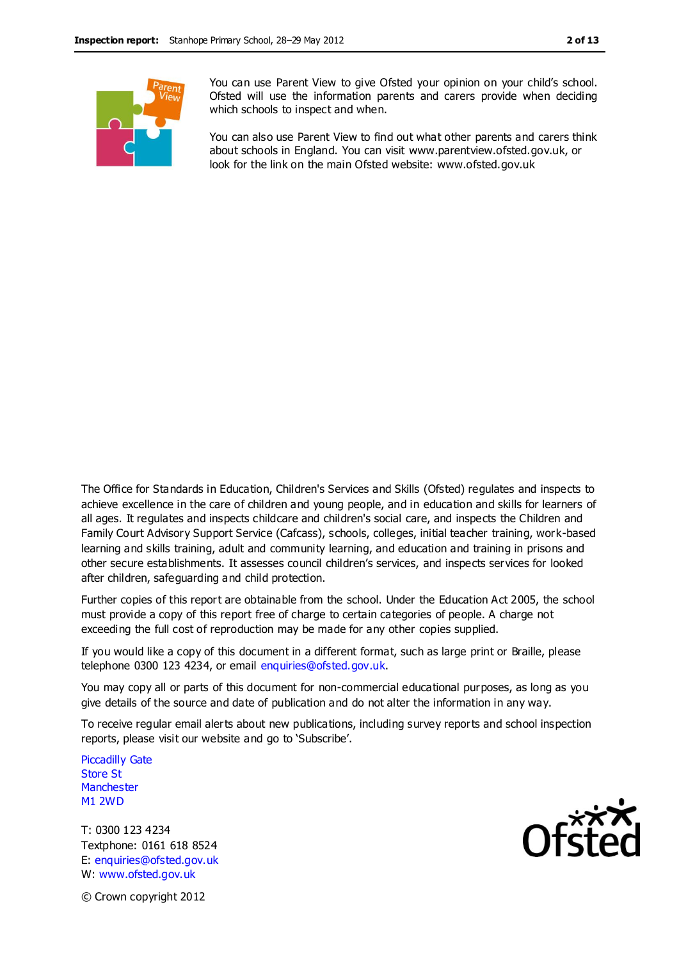

You can use Parent View to give Ofsted your opinion on your child's school. Ofsted will use the information parents and carers provide when deciding which schools to inspect and when.

You can also use Parent View to find out what other parents and carers think about schools in England. You can visit www.parentview.ofsted.gov.uk, or look for the link on the main Ofsted website: www.ofsted.gov.uk

The Office for Standards in Education, Children's Services and Skills (Ofsted) regulates and inspects to achieve excellence in the care of children and young people, and in education and skills for learners of all ages. It regulates and inspects childcare and children's social care, and inspects the Children and Family Court Advisory Support Service (Cafcass), schools, colleges, initial teacher training, work-based learning and skills training, adult and community learning, and education and training in prisons and other secure establishments. It assesses council children's services, and inspects services for looked after children, safeguarding and child protection.

Further copies of this report are obtainable from the school. Under the Education Act 2005, the school must provide a copy of this report free of charge to certain categories of people. A charge not exceeding the full cost of reproduction may be made for any other copies supplied.

If you would like a copy of this document in a different format, such as large print or Braille, please telephone 0300 123 4234, or email enquiries@ofsted.gov.uk.

You may copy all or parts of this document for non-commercial educational purposes, as long as you give details of the source and date of publication and do not alter the information in any way.

To receive regular email alerts about new publications, including survey reports and school inspection reports, please visit our website and go to 'Subscribe'.

Piccadilly Gate Store St **Manchester** M1 2WD

T: 0300 123 4234 Textphone: 0161 618 8524 E: enquiries@ofsted.gov.uk W: www.ofsted.gov.uk



© Crown copyright 2012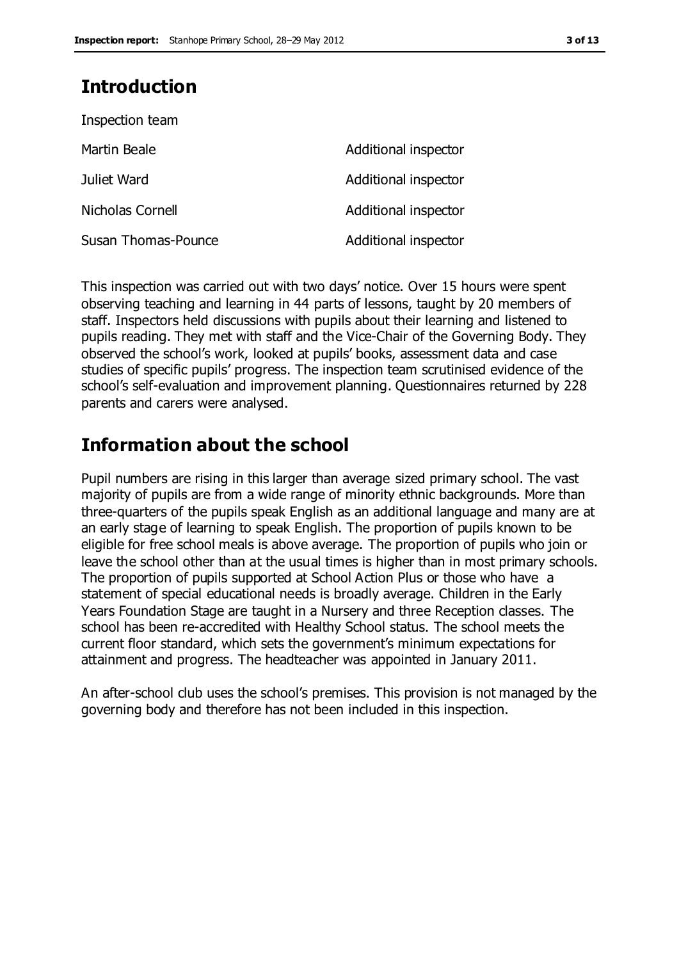### **Introduction**

| Inspection team     |                      |
|---------------------|----------------------|
| Martin Beale        | Additional inspector |
| Juliet Ward         | Additional inspector |
| Nicholas Cornell    | Additional inspector |
| Susan Thomas-Pounce | Additional inspector |

This inspection was carried out with two days' notice. Over 15 hours were spent observing teaching and learning in 44 parts of lessons, taught by 20 members of staff. Inspectors held discussions with pupils about their learning and listened to pupils reading. They met with staff and the Vice-Chair of the Governing Body. They observed the school's work, looked at pupils' books, assessment data and case studies of specific pupils' progress. The inspection team scrutinised evidence of the school's self-evaluation and improvement planning. Questionnaires returned by 228 parents and carers were analysed.

### **Information about the school**

Pupil numbers are rising in this larger than average sized primary school. The vast majority of pupils are from a wide range of minority ethnic backgrounds. More than three-quarters of the pupils speak English as an additional language and many are at an early stage of learning to speak English. The proportion of pupils known to be eligible for free school meals is above average. The proportion of pupils who join or leave the school other than at the usual times is higher than in most primary schools. The proportion of pupils supported at School Action Plus or those who have a statement of special educational needs is broadly average. Children in the Early Years Foundation Stage are taught in a Nursery and three Reception classes. The school has been re-accredited with Healthy School status. The school meets the current floor standard, which sets the government's minimum expectations for attainment and progress. The headteacher was appointed in January 2011.

An after-school club uses the school's premises. This provision is not managed by the governing body and therefore has not been included in this inspection.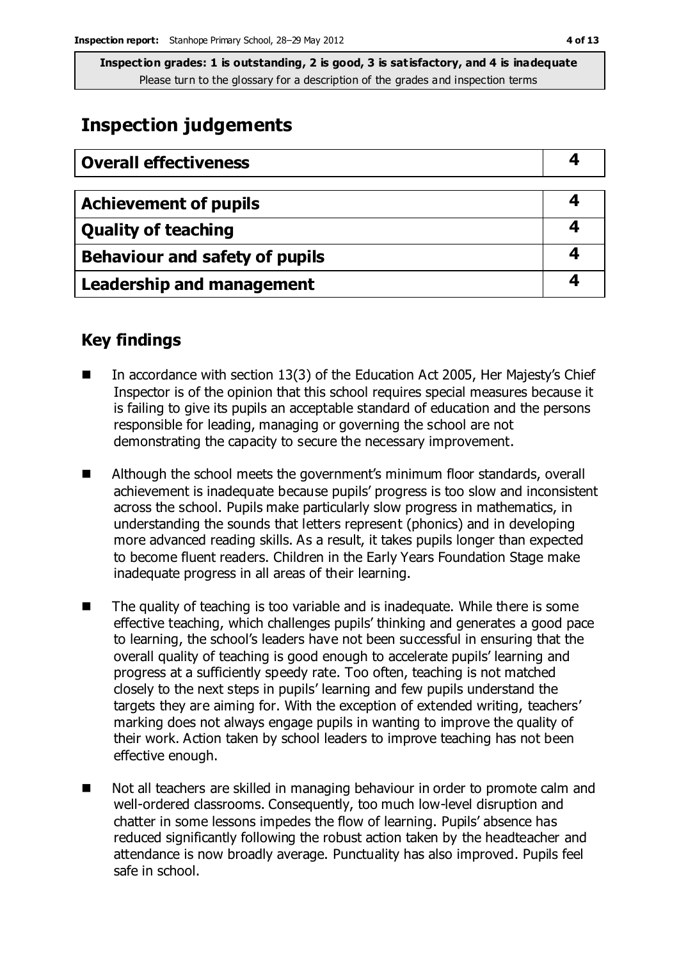### **Inspection judgements**

| <b>Overall effectiveness</b>     |  |
|----------------------------------|--|
| <b>Achievement of pupils</b>     |  |
| <b>Quality of teaching</b>       |  |
| Behaviour and safety of pupils   |  |
| <b>Leadership and management</b> |  |

### **Key findings**

- In accordance with section 13(3) of the Education Act 2005, Her Majesty's Chief Inspector is of the opinion that this school requires special measures because it is failing to give its pupils an acceptable standard of education and the persons responsible for leading, managing or governing the school are not demonstrating the capacity to secure the necessary improvement.
- Although the school meets the government's minimum floor standards, overall achievement is inadequate because pupils' progress is too slow and inconsistent across the school. Pupils make particularly slow progress in mathematics, in understanding the sounds that letters represent (phonics) and in developing more advanced reading skills. As a result, it takes pupils longer than expected to become fluent readers. Children in the Early Years Foundation Stage make inadequate progress in all areas of their learning.
- The quality of teaching is too variable and is inadequate. While there is some effective teaching, which challenges pupils' thinking and generates a good pace to learning, the school's leaders have not been successful in ensuring that the overall quality of teaching is good enough to accelerate pupils' learning and progress at a sufficiently speedy rate. Too often, teaching is not matched closely to the next steps in pupils' learning and few pupils understand the targets they are aiming for. With the exception of extended writing, teachers' marking does not always engage pupils in wanting to improve the quality of their work. Action taken by school leaders to improve teaching has not been effective enough.
- Not all teachers are skilled in managing behaviour in order to promote calm and well-ordered classrooms. Consequently, too much low-level disruption and chatter in some lessons impedes the flow of learning. Pupils' absence has reduced significantly following the robust action taken by the headteacher and attendance is now broadly average. Punctuality has also improved. Pupils feel safe in school.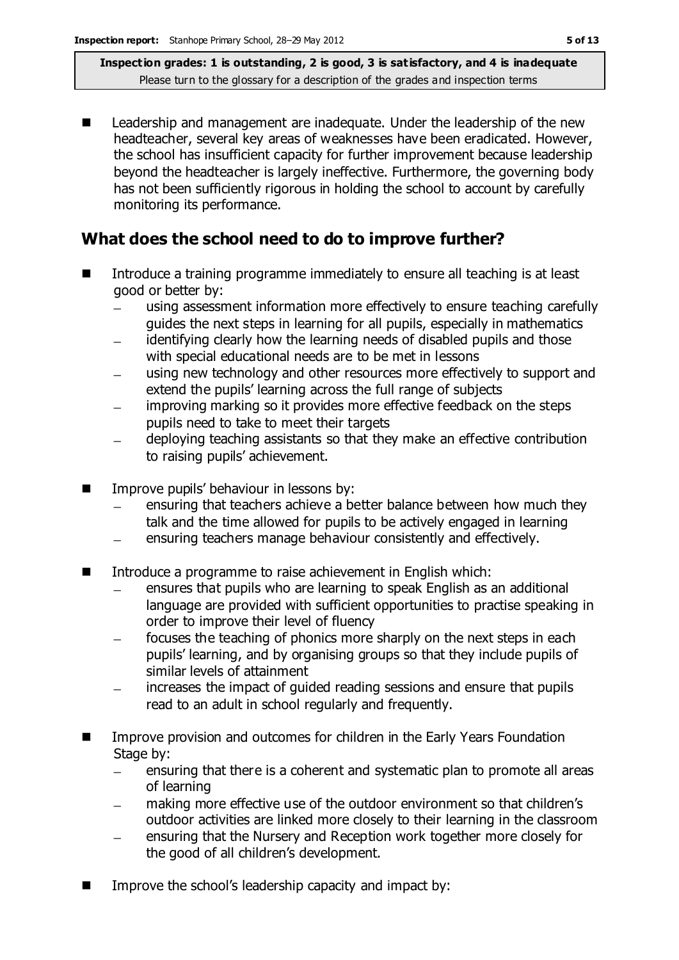■ Leadership and management are inadequate. Under the leadership of the new headteacher, several key areas of weaknesses have been eradicated. However, the school has insufficient capacity for further improvement because leadership beyond the headteacher is largely ineffective. Furthermore, the governing body has not been sufficiently rigorous in holding the school to account by carefully monitoring its performance.

### **What does the school need to do to improve further?**

- Introduce a training programme immediately to ensure all teaching is at least good or better by:
	- using assessment information more effectively to ensure teaching carefully guides the next steps in learning for all pupils, especially in mathematics
	- identifying clearly how the learning needs of disabled pupils and those  $\equiv$ with special educational needs are to be met in lessons
	- using new technology and other resources more effectively to support and extend the pupils' learning across the full range of subjects
	- improving marking so it provides more effective feedback on the steps  $\equiv$ pupils need to take to meet their targets
	- deploying teaching assistants so that they make an effective contribution to raising pupils' achievement.
- Improve pupils' behaviour in lessons by:
	- ensuring that teachers achieve a better balance between how much they talk and the time allowed for pupils to be actively engaged in learning
	- ensuring teachers manage behaviour consistently and effectively.  $\equiv$
- Introduce a programme to raise achievement in English which:
	- ensures that pupils who are learning to speak English as an additional language are provided with sufficient opportunities to practise speaking in order to improve their level of fluency
	- focuses the teaching of phonics more sharply on the next steps in each pupils' learning, and by organising groups so that they include pupils of similar levels of attainment
	- increases the impact of guided reading sessions and ensure that pupils  $\frac{1}{2}$ read to an adult in school regularly and frequently.
- **IMPROVE PROVISION AND OUTCOMES FOR CHILD FOR A FOUNDATION IN THE INCORDIT IN THE INCORDIT IN THE INCORDIT IN T** Stage by:
	- ensuring that there is a coherent and systematic plan to promote all areas  $\equiv$ of learning
	- making more effective use of the outdoor environment so that children's outdoor activities are linked more closely to their learning in the classroom
	- ensuring that the Nursery and Reception work together more closely for the good of all children's development.
- Improve the school's leadership capacity and impact by: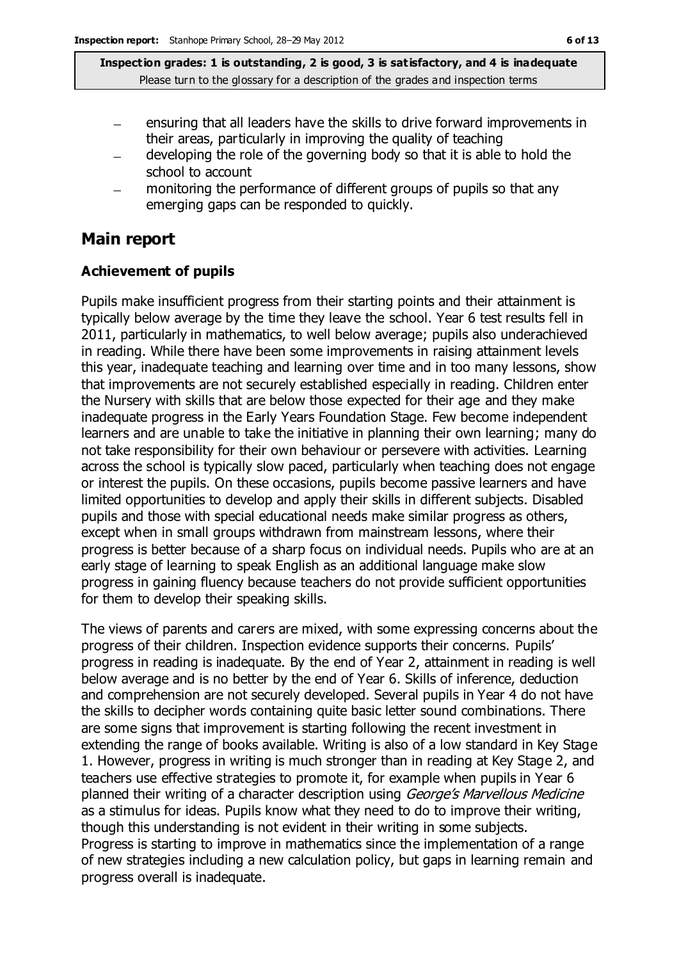- ensuring that all leaders have the skills to drive forward improvements in their areas, particularly in improving the quality of teaching
- developing the role of the governing body so that it is able to hold the  $\overline{\phantom{0}}$ school to account
- monitoring the performance of different groups of pupils so that any emerging gaps can be responded to quickly.

### **Main report**

### **Achievement of pupils**

Pupils make insufficient progress from their starting points and their attainment is typically below average by the time they leave the school. Year 6 test results fell in 2011, particularly in mathematics, to well below average; pupils also underachieved in reading. While there have been some improvements in raising attainment levels this year, inadequate teaching and learning over time and in too many lessons, show that improvements are not securely established especially in reading. Children enter the Nursery with skills that are below those expected for their age and they make inadequate progress in the Early Years Foundation Stage. Few become independent learners and are unable to take the initiative in planning their own learning; many do not take responsibility for their own behaviour or persevere with activities. Learning across the school is typically slow paced, particularly when teaching does not engage or interest the pupils. On these occasions, pupils become passive learners and have limited opportunities to develop and apply their skills in different subjects. Disabled pupils and those with special educational needs make similar progress as others, except when in small groups withdrawn from mainstream lessons, where their progress is better because of a sharp focus on individual needs. Pupils who are at an early stage of learning to speak English as an additional language make slow progress in gaining fluency because teachers do not provide sufficient opportunities for them to develop their speaking skills.

The views of parents and carers are mixed, with some expressing concerns about the progress of their children. Inspection evidence supports their concerns. Pupils' progress in reading is inadequate. By the end of Year 2, attainment in reading is well below average and is no better by the end of Year 6. Skills of inference, deduction and comprehension are not securely developed. Several pupils in Year 4 do not have the skills to decipher words containing quite basic letter sound combinations. There are some signs that improvement is starting following the recent investment in extending the range of books available. Writing is also of a low standard in Key Stage 1. However, progress in writing is much stronger than in reading at Key Stage 2, and teachers use effective strategies to promote it, for example when pupils in Year 6 planned their writing of a character description using *George's Marvellous Medicine* as a stimulus for ideas. Pupils know what they need to do to improve their writing, though this understanding is not evident in their writing in some subjects. Progress is starting to improve in mathematics since the implementation of a range of new strategies including a new calculation policy, but gaps in learning remain and progress overall is inadequate.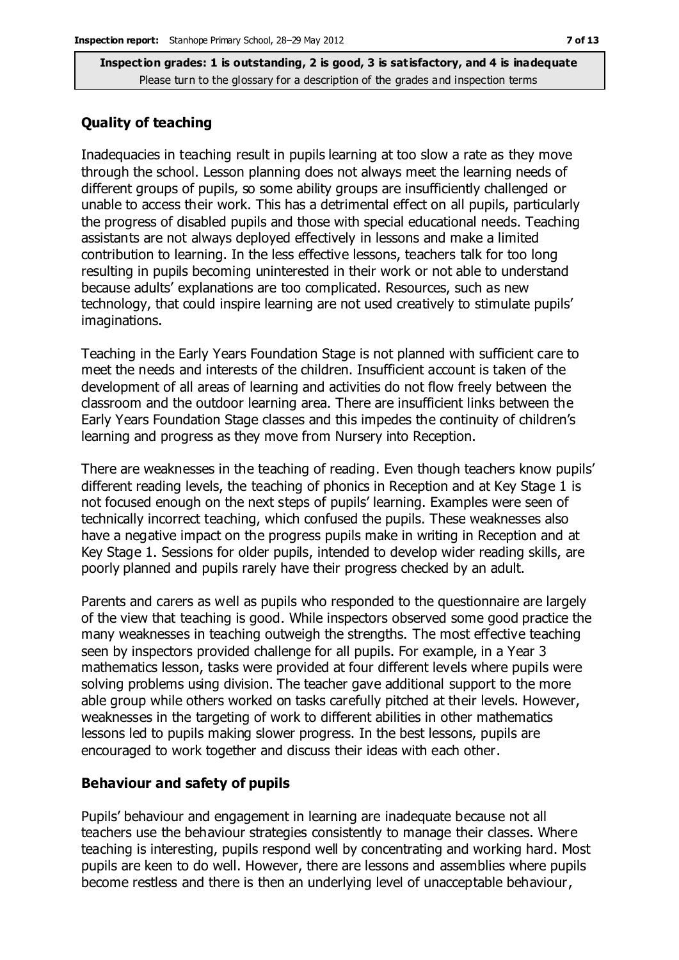#### **Quality of teaching**

Inadequacies in teaching result in pupils learning at too slow a rate as they move through the school. Lesson planning does not always meet the learning needs of different groups of pupils, so some ability groups are insufficiently challenged or unable to access their work. This has a detrimental effect on all pupils, particularly the progress of disabled pupils and those with special educational needs. Teaching assistants are not always deployed effectively in lessons and make a limited contribution to learning. In the less effective lessons, teachers talk for too long resulting in pupils becoming uninterested in their work or not able to understand because adults' explanations are too complicated. Resources, such as new technology, that could inspire learning are not used creatively to stimulate pupils' imaginations.

Teaching in the Early Years Foundation Stage is not planned with sufficient care to meet the needs and interests of the children. Insufficient account is taken of the development of all areas of learning and activities do not flow freely between the classroom and the outdoor learning area. There are insufficient links between the Early Years Foundation Stage classes and this impedes the continuity of children's learning and progress as they move from Nursery into Reception.

There are weaknesses in the teaching of reading. Even though teachers know pupils' different reading levels, the teaching of phonics in Reception and at Key Stage 1 is not focused enough on the next steps of pupils' learning. Examples were seen of technically incorrect teaching, which confused the pupils. These weaknesses also have a negative impact on the progress pupils make in writing in Reception and at Key Stage 1. Sessions for older pupils, intended to develop wider reading skills, are poorly planned and pupils rarely have their progress checked by an adult.

Parents and carers as well as pupils who responded to the questionnaire are largely of the view that teaching is good. While inspectors observed some good practice the many weaknesses in teaching outweigh the strengths. The most effective teaching seen by inspectors provided challenge for all pupils. For example, in a Year 3 mathematics lesson, tasks were provided at four different levels where pupils were solving problems using division. The teacher gave additional support to the more able group while others worked on tasks carefully pitched at their levels. However, weaknesses in the targeting of work to different abilities in other mathematics lessons led to pupils making slower progress. In the best lessons, pupils are encouraged to work together and discuss their ideas with each other.

#### **Behaviour and safety of pupils**

Pupils' behaviour and engagement in learning are inadequate because not all teachers use the behaviour strategies consistently to manage their classes. Where teaching is interesting, pupils respond well by concentrating and working hard. Most pupils are keen to do well. However, there are lessons and assemblies where pupils become restless and there is then an underlying level of unacceptable behaviour,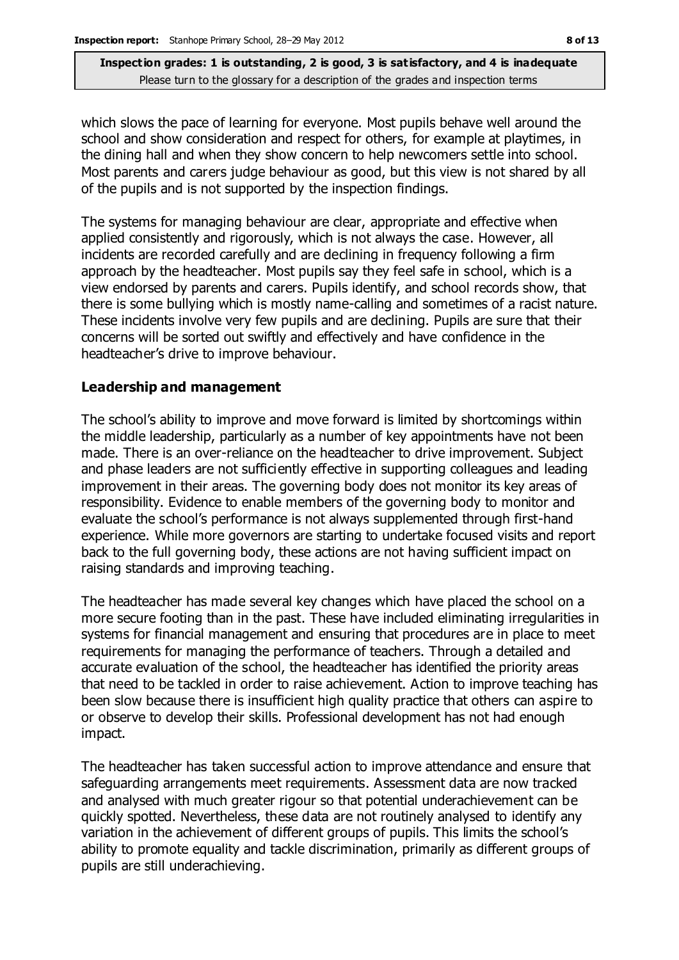which slows the pace of learning for everyone. Most pupils behave well around the school and show consideration and respect for others, for example at playtimes, in the dining hall and when they show concern to help newcomers settle into school. Most parents and carers judge behaviour as good, but this view is not shared by all of the pupils and is not supported by the inspection findings.

The systems for managing behaviour are clear, appropriate and effective when applied consistently and rigorously, which is not always the case. However, all incidents are recorded carefully and are declining in frequency following a firm approach by the headteacher. Most pupils say they feel safe in school, which is a view endorsed by parents and carers. Pupils identify, and school records show, that there is some bullying which is mostly name-calling and sometimes of a racist nature. These incidents involve very few pupils and are declining. Pupils are sure that their concerns will be sorted out swiftly and effectively and have confidence in the headteacher's drive to improve behaviour.

#### **Leadership and management**

The school's ability to improve and move forward is limited by shortcomings within the middle leadership, particularly as a number of key appointments have not been made. There is an over-reliance on the headteacher to drive improvement. Subject and phase leaders are not sufficiently effective in supporting colleagues and leading improvement in their areas. The governing body does not monitor its key areas of responsibility. Evidence to enable members of the governing body to monitor and evaluate the school's performance is not always supplemented through first-hand experience. While more governors are starting to undertake focused visits and report back to the full governing body, these actions are not having sufficient impact on raising standards and improving teaching.

The headteacher has made several key changes which have placed the school on a more secure footing than in the past. These have included eliminating irregularities in systems for financial management and ensuring that procedures are in place to meet requirements for managing the performance of teachers. Through a detailed and accurate evaluation of the school, the headteacher has identified the priority areas that need to be tackled in order to raise achievement. Action to improve teaching has been slow because there is insufficient high quality practice that others can aspire to or observe to develop their skills. Professional development has not had enough impact.

The headteacher has taken successful action to improve attendance and ensure that safeguarding arrangements meet requirements. Assessment data are now tracked and analysed with much greater rigour so that potential underachievement can be quickly spotted. Nevertheless, these data are not routinely analysed to identify any variation in the achievement of different groups of pupils. This limits the school's ability to promote equality and tackle discrimination, primarily as different groups of pupils are still underachieving.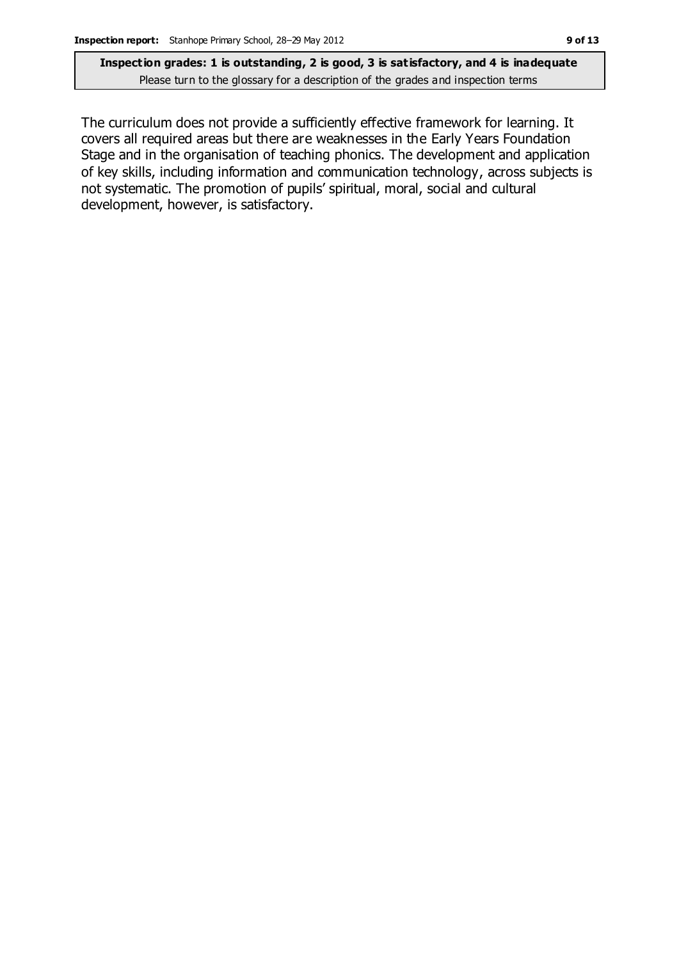The curriculum does not provide a sufficiently effective framework for learning. It covers all required areas but there are weaknesses in the Early Years Foundation Stage and in the organisation of teaching phonics. The development and application of key skills, including information and communication technology, across subjects is not systematic. The promotion of pupils' spiritual, moral, social and cultural development, however, is satisfactory.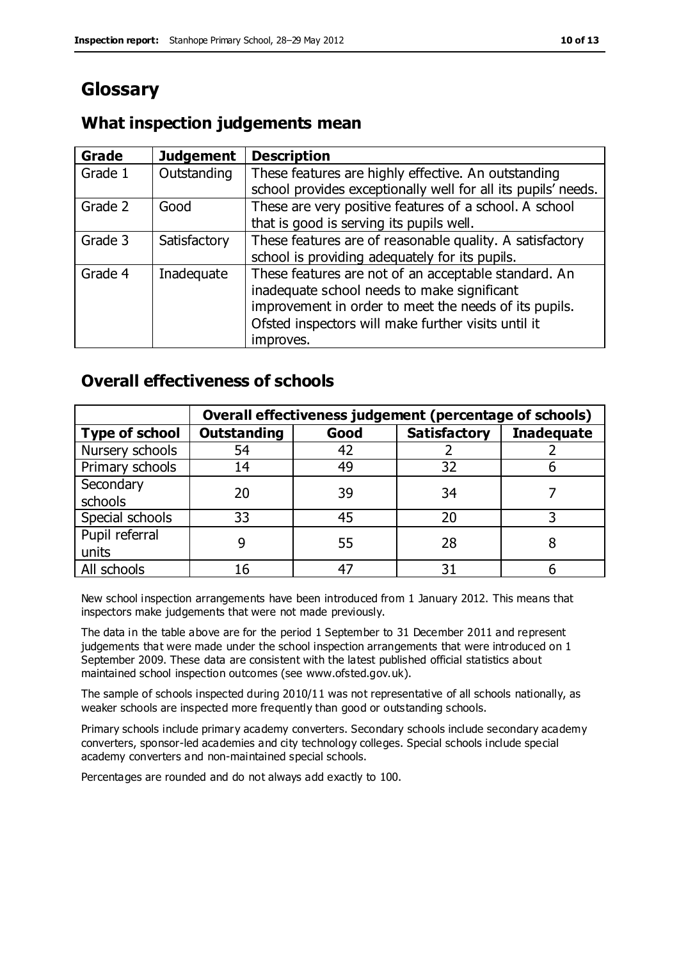### **Glossary**

### **What inspection judgements mean**

| <b>Grade</b> | <b>Judgement</b> | <b>Description</b>                                            |
|--------------|------------------|---------------------------------------------------------------|
| Grade 1      | Outstanding      | These features are highly effective. An outstanding           |
|              |                  | school provides exceptionally well for all its pupils' needs. |
| Grade 2      | Good             | These are very positive features of a school. A school        |
|              |                  | that is good is serving its pupils well.                      |
| Grade 3      | Satisfactory     | These features are of reasonable quality. A satisfactory      |
|              |                  | school is providing adequately for its pupils.                |
| Grade 4      | Inadequate       | These features are not of an acceptable standard. An          |
|              |                  | inadequate school needs to make significant                   |
|              |                  | improvement in order to meet the needs of its pupils.         |
|              |                  | Ofsted inspectors will make further visits until it           |
|              |                  | improves.                                                     |

### **Overall effectiveness of schools**

|                       | Overall effectiveness judgement (percentage of schools) |      |                     |                   |
|-----------------------|---------------------------------------------------------|------|---------------------|-------------------|
| <b>Type of school</b> | <b>Outstanding</b>                                      | Good | <b>Satisfactory</b> | <b>Inadequate</b> |
| Nursery schools       | 54                                                      | 42   |                     |                   |
| Primary schools       | 14                                                      | 49   | 32                  |                   |
| Secondary             | 20                                                      | 39   | 34                  |                   |
| schools               |                                                         |      |                     |                   |
| Special schools       | 33                                                      | 45   | 20                  |                   |
| Pupil referral        |                                                         | 55   | 28                  |                   |
| units                 |                                                         |      |                     |                   |
| All schools           | 16                                                      | 47   | 31                  |                   |

New school inspection arrangements have been introduced from 1 January 2012. This means that inspectors make judgements that were not made previously.

The data in the table above are for the period 1 September to 31 December 2011 and represent judgements that were made under the school inspection arrangements that were introduced on 1 September 2009. These data are consistent with the latest published official statistics about maintained school inspection outcomes (see www.ofsted.gov.uk).

The sample of schools inspected during 2010/11 was not representative of all schools nationally, as weaker schools are inspected more frequently than good or outstanding schools.

Primary schools include primary academy converters. Secondary schools include secondary academy converters, sponsor-led academies and city technology colleges. Special schools include special academy converters and non-maintained special schools.

Percentages are rounded and do not always add exactly to 100.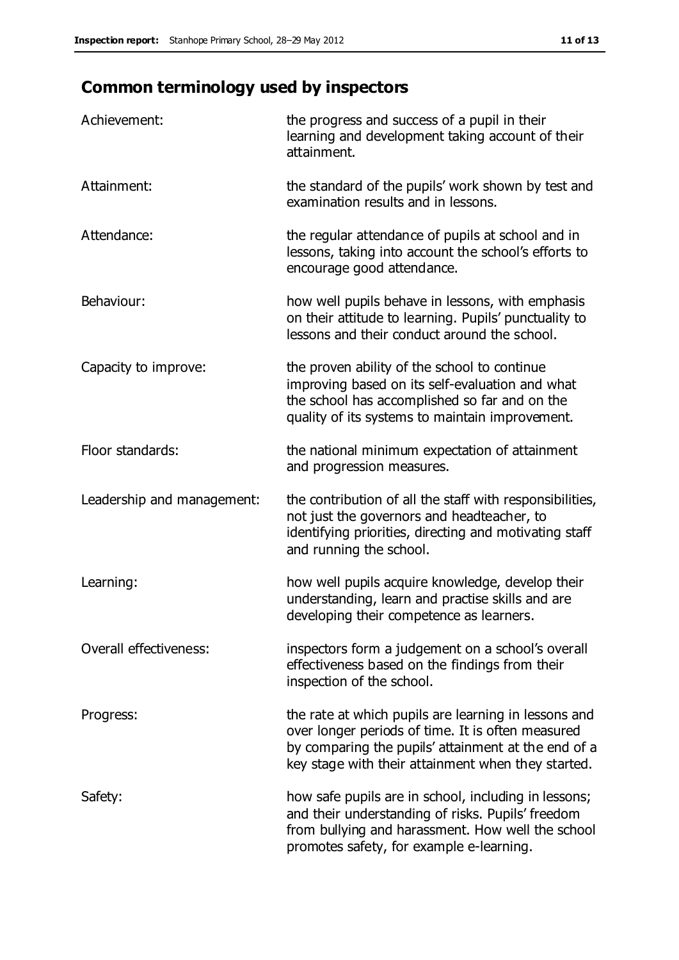## **Common terminology used by inspectors**

| Achievement:                  | the progress and success of a pupil in their<br>learning and development taking account of their<br>attainment.                                                                                                        |
|-------------------------------|------------------------------------------------------------------------------------------------------------------------------------------------------------------------------------------------------------------------|
| Attainment:                   | the standard of the pupils' work shown by test and<br>examination results and in lessons.                                                                                                                              |
| Attendance:                   | the regular attendance of pupils at school and in<br>lessons, taking into account the school's efforts to<br>encourage good attendance.                                                                                |
| Behaviour:                    | how well pupils behave in lessons, with emphasis<br>on their attitude to learning. Pupils' punctuality to<br>lessons and their conduct around the school.                                                              |
| Capacity to improve:          | the proven ability of the school to continue<br>improving based on its self-evaluation and what<br>the school has accomplished so far and on the<br>quality of its systems to maintain improvement.                    |
| Floor standards:              | the national minimum expectation of attainment<br>and progression measures.                                                                                                                                            |
| Leadership and management:    | the contribution of all the staff with responsibilities,<br>not just the governors and headteacher, to<br>identifying priorities, directing and motivating staff<br>and running the school.                            |
| Learning:                     | how well pupils acquire knowledge, develop their<br>understanding, learn and practise skills and are<br>developing their competence as learners.                                                                       |
| <b>Overall effectiveness:</b> | inspectors form a judgement on a school's overall<br>effectiveness based on the findings from their<br>inspection of the school.                                                                                       |
| Progress:                     | the rate at which pupils are learning in lessons and<br>over longer periods of time. It is often measured<br>by comparing the pupils' attainment at the end of a<br>key stage with their attainment when they started. |
| Safety:                       | how safe pupils are in school, including in lessons;<br>and their understanding of risks. Pupils' freedom<br>from bullying and harassment. How well the school<br>promotes safety, for example e-learning.             |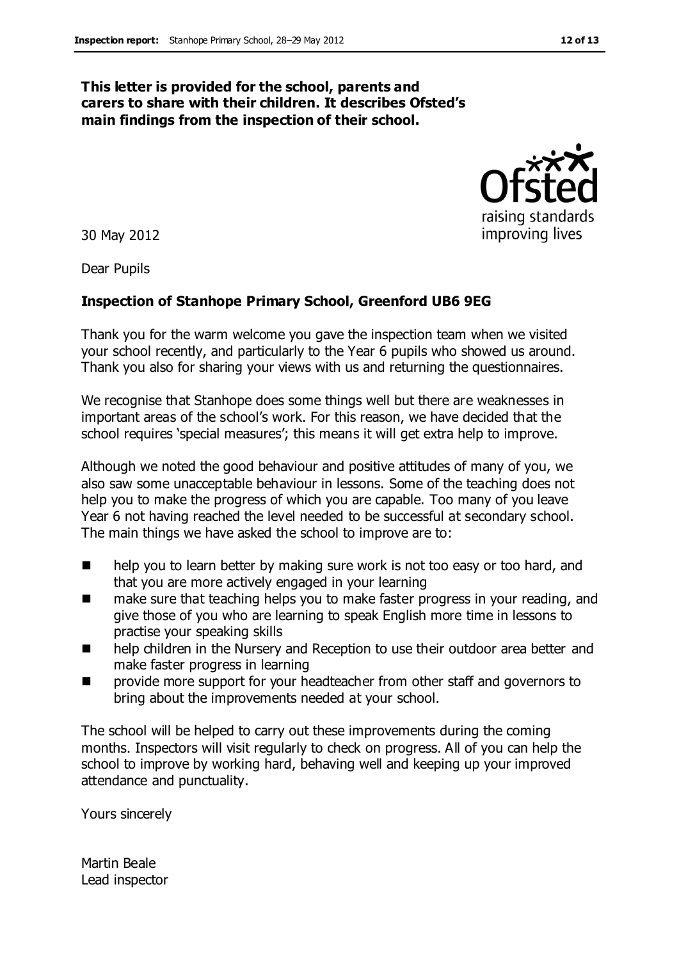#### **This letter is provided for the school, parents and carers to share with their children. It describes Ofsted's main findings from the inspection of their school.**

30 May 2012

Dear Pupils

#### **Inspection of Stanhope Primary School, Greenford UB6 9EG**

Thank you for the warm welcome you gave the inspection team when we visited your school recently, and particularly to the Year 6 pupils who showed us around. Thank you also for sharing your views with us and returning the questionnaires.

We recognise that Stanhope does some things well but there are weaknesses in important areas of the school's work. For this reason, we have decided that the school requires 'special measures'; this means it will get extra help to improve.

Although we noted the good behaviour and positive attitudes of many of you, we also saw some unacceptable behaviour in lessons. Some of the teaching does not help you to make the progress of which you are capable. Too many of you leave Year 6 not having reached the level needed to be successful at secondary school. The main things we have asked the school to improve are to:

- help you to learn better by making sure work is not too easy or too hard, and that you are more actively engaged in your learning
- make sure that teaching helps you to make faster progress in your reading, and give those of you who are learning to speak English more time in lessons to practise your speaking skills
- **number 1** help children in the Nursery and Reception to use their outdoor area better and make faster progress in learning
- provide more support for your headteacher from other staff and governors to bring about the improvements needed at your school.

The school will be helped to carry out these improvements during the coming months. Inspectors will visit regularly to check on progress. All of you can help the school to improve by working hard, behaving well and keeping up your improved attendance and punctuality.

Yours sincerely

Martin Beale Lead inspector